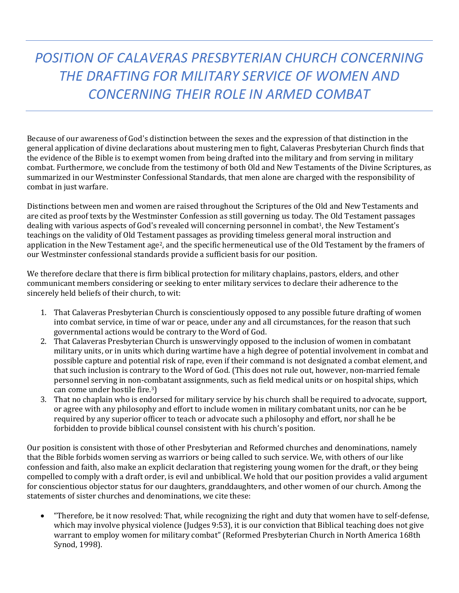*POSITION OF CALAVERAS PRESBYTERIAN CHURCH CONCERNING THE DRAFTING FOR MILITARY SERVICE OF WOMEN AND CONCERNING THEIR ROLE IN ARMED COMBAT*

Because of our awareness of God's distinction between the sexes and the expression of that distinction in the general application of divine declarations about mustering men to fight, Calaveras Presbyterian Church finds that the evidence of the Bible is to exempt women from being drafted into the military and from serving in military combat. Furthermore, we conclude from the testimony of both Old and New Testaments of the Divine Scriptures, as summarized in our Westminster Confessional Standards, that men alone are charged with the responsibility of combat in just warfare.

Distinctions between men and women are raised throughout the Scriptures of the Old and New Testaments and are cited as proof texts by the Westminster Confession as still governing us today. The Old Testament passages dealing with various aspects of God's revealed will concerning personnel in combat<sup>1</sup>, the New Testament's teachings on the validity of Old Testament passages as providing timeless general moral instruction and application in the New Testament age2, and the specific hermeneutical use of the Old Testament by the framers of our Westminster confessional standards provide a sufficient basis for our position.

We therefore declare that there is firm biblical protection for military chaplains, pastors, elders, and other communicant members considering or seeking to enter military services to declare their adherence to the sincerely held beliefs of their church, to wit:

- 1. That Calaveras Presbyterian Church is conscientiously opposed to any possible future drafting of women into combat service, in time of war or peace, under any and all circumstances, for the reason that such governmental actions would be contrary to the Word of God.
- 2. That Calaveras Presbyterian Church is unswervingly opposed to the inclusion of women in combatant military units, or in units which during wartime have a high degree of potential involvement in combat and possible capture and potential risk of rape, even if their command is not designated a combat element, and that such inclusion is contrary to the Word of God. (This does not rule out, however, non-married female personnel serving in non-combatant assignments, such as field medical units or on hospital ships, which can come under hostile fire.3)
- 3. That no chaplain who is endorsed for military service by his church shall be required to advocate, support, or agree with any philosophy and effort to include women in military combatant units, nor can he be required by any superior officer to teach or advocate such a philosophy and effort, nor shall he be forbidden to provide biblical counsel consistent with his church's position.

Our position is consistent with those of other Presbyterian and Reformed churches and denominations, namely that the Bible forbids women serving as warriors or being called to such service. We, with others of our like confession and faith, also make an explicit declaration that registering young women for the draft, or they being compelled to comply with a draft order, is evil and unbiblical. We hold that our position provides a valid argument for conscientious objector status for our daughters, granddaughters, and other women of our church. Among the statements of sister churches and denominations, we cite these:

• "Therefore, be it now resolved: That, while recognizing the right and duty that women have to self-defense, which may involve physical violence (Judges 9:53), it is our conviction that Biblical teaching does not give warrant to employ women for military combat" (Reformed Presbyterian Church in North America 168th Synod, 1998).